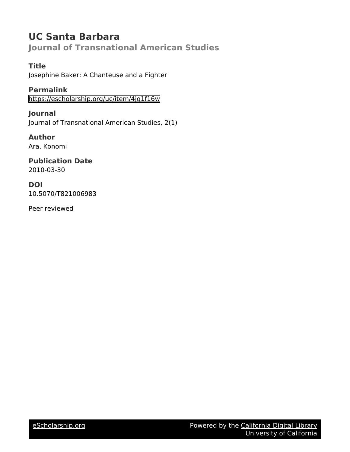# **UC Santa Barbara**

**Journal of Transnational American Studies**

# **Title**

Josephine Baker: A Chanteuse and a Fighter

**Permalink**

<https://escholarship.org/uc/item/4jq1f16w>

**Journal** Journal of Transnational American Studies, 2(1)

**Author** Ara, Konomi

**Publication Date** 2010-03-30

**DOI** 10.5070/T821006983

Peer reviewed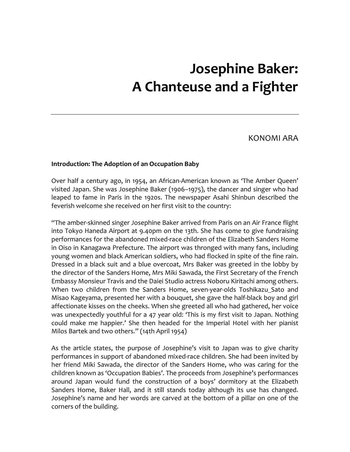# **Josephine Baker: A Chanteuse and a Fighter**

KONOMI ARA

#### **Introduction: The Adoption of an Occupation Baby**

Over half a century ago, in 1954, an African‐American known as 'The Amber Queen' visited Japan. She was Josephine Baker (1906–1975), the dancer and singer who had leaped to fame in Paris in the 1920s. The newspaper Asahi Shinbun described the feverish welcome she received on her first visit to the country:

"The amber‐skinned singer Josephine Baker arrived from Paris on an Air France flight into Tokyo Haneda Airport at 9.40pm on the 13th. She has come to give fundraising performances for the abandoned mixed‐race children of the Elizabeth Sanders Home in Oiso in Kanagawa Prefecture. The airport was thronged with many fans, including young women and black American soldiers, who had flocked in spite of the fine rain. Dressed in a black suit and a blue overcoat, Mrs Baker was greeted in the lobby by the director of the Sanders Home, Mrs Miki Sawada, the First Secretary of the French Embassy Monsieur Travis and the Daiei Studio actress Noboru Kiritachi among others. When two children from the Sanders Home, seven-year-olds Toshikazu\_Sato and Misao Kageyama, presented her with a bouquet, she gave the half‐black boy and girl affectionate kisses on the cheeks. When she greeted all who had gathered, her voice was unexpectedly youthful for a 47 year old: 'This is my first visit to Japan. Nothing could make me happier.' She then headed for the Imperial Hotel with her pianist Milos Bartek and two others." (14th April 1954)

As the article states, the purpose of Josephine's visit to Japan was to give charity performances in support of abandoned mixed‐race children. She had been invited by her friend Miki Sawada, the director of the Sanders Home, who was caring for the children known as 'Occupation Babies'. The proceeds from Josephine's performances around Japan would fund the construction of a boys' dormitory at the Elizabeth Sanders Home, Baker Hall, and it still stands today although its use has changed. Josephine's name and her words are carved at the bottom of a pillar on one of the corners of the building.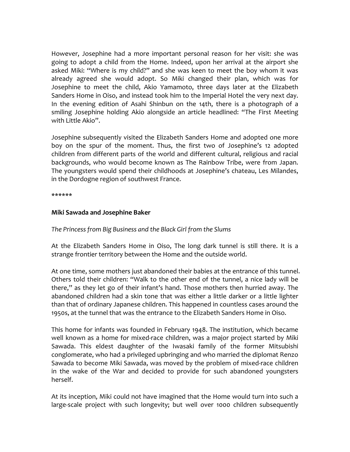However, Josephine had a more important personal reason for her visit: she was going to adopt a child from the Home. Indeed, upon her arrival at the airport she asked Miki: "Where is my child?" and she was keen to meet the boy whom it was already agreed she would adopt. So Miki changed their plan, which was for Josephine to meet the child, Akio Yamamoto, three days later at the Elizabeth Sanders Home in Oiso, and instead took him to the Imperial Hotel the very next day. In the evening edition of Asahi Shinbun on the 14th, there is a photograph of a smiling Josephine holding Akio alongside an article headlined: "The First Meeting with Little Akio".

Josephine subsequently visited the Elizabeth Sanders Home and adopted one more boy on the spur of the moment. Thus, the first two of Josephine's 12 adopted children from different parts of the world and different cultural, religious and racial backgrounds, who would become known as The Rainbow Tribe, were from Japan. The youngsters would spend their childhoods at Josephine's chateau, Les Milandes, in the Dordogne region of southwest France.

\*\*\*\*\*\*

#### **Miki Sawada and Josephine Baker**

# *The Princess from Big Business and the Black Girl from the Slums*

At the Elizabeth Sanders Home in Oiso, The long dark tunnel is still there. It is a strange frontier territory between the Home and the outside world.

At one time, some mothers just abandoned their babies at the entrance of this tunnel. Others told their children: "Walk to the other end of the tunnel, a nice lady will be there," as they let go of their infant's hand. Those mothers then hurried away. The abandoned children had a skin tone that was either a little darker or a little lighter than that of ordinary Japanese children. This happened in countless cases around the 1950s, at the tunnel that was the entrance to the Elizabeth Sanders Home in Oiso.

This home for infants was founded in February 1948. The institution, which became well known as a home for mixed-race children, was a major project started by Miki Sawada. This eldest daughter of the Iwasaki family of the former Mitsubishi conglomerate, who had a privileged upbringing and who married the diplomat Renzo Sawada to become Miki Sawada, was moved by the problem of mixed‐race children in the wake of the War and decided to provide for such abandoned youngsters herself.

At its inception, Miki could not have imagined that the Home would turn into such a large-scale project with such longevity; but well over 1000 children subsequently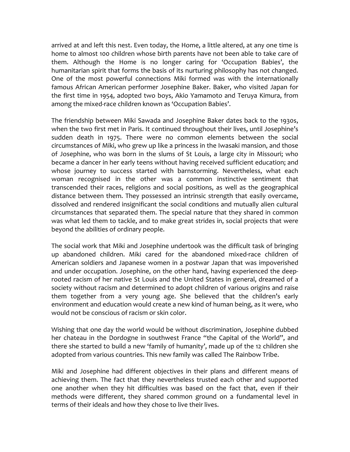arrived at and left this nest. Even today, the Home, a little altered, at any one time is home to almost 100 children whose birth parents have not been able to take care of them. Although the Home is no longer caring for 'Occupation Babies', the humanitarian spirit that forms the basis of its nurturing philosophy has not changed. One of the most powerful connections Miki formed was with the internationally famous African American performer Josephine Baker. Baker, who visited Japan for the first time in 1954, adopted two boys, Akio Yamamoto and Teruya Kimura, from among the mixed-race children known as 'Occupation Babies'.

The friendship between Miki Sawada and Josephine Baker dates back to the 1930s, when the two first met in Paris. It continued throughout their lives, until Josephine's sudden death in 1975. There were no common elements between the social circumstances of Miki, who grew up like a princess in the Iwasaki mansion, and those of Josephine, who was born in the slums of St Louis, a large city in Missouri; who became a dancer in her early teens without having received sufficient education; and whose journey to success started with barnstorming. Nevertheless, what each woman recognised in the other was a common instinctive sentiment that transcended their races, religions and social positions, as well as the geographical distance between them. They possessed an intrinsic strength that easily overcame, dissolved and rendered insignificant the social conditions and mutually alien cultural circumstances that separated them. The special nature that they shared in common was what led them to tackle, and to make great strides in, social projects that were beyond the abilities of ordinary people.

The social work that Miki and Josephine undertook was the difficult task of bringing up abandoned children. Miki cared for the abandoned mixed‐race children of American soldiers and Japanese women in a postwar Japan that was impoverished and under occupation. Josephine, on the other hand, having experienced the deeprooted racism of her native St Louis and the United States in general, dreamed of a society without racism and determined to adopt children of various origins and raise them together from a very young age. She believed that the children's early environment and education would create a new kind of human being, as it were, who would not be conscious of racism or skin color.

Wishing that one day the world would be without discrimination, Josephine dubbed her chateau in the Dordogne in southwest France "the Capital of the World", and there she started to build a new 'family of humanity', made up of the 12 children she adopted from various countries. This new family was called The Rainbow Tribe.

Miki and Josephine had different objectives in their plans and different means of achieving them. The fact that they nevertheless trusted each other and supported one another when they hit difficulties was based on the fact that, even if their methods were different, they shared common ground on a fundamental level in terms of their ideals and how they chose to live their lives.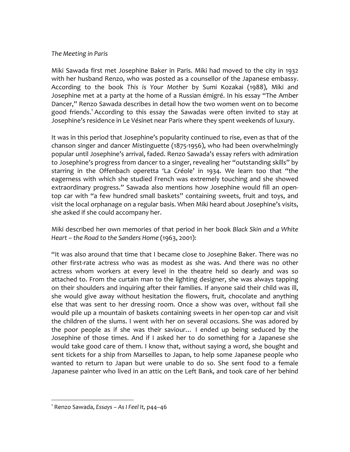#### *The Meeting in Paris*

Miki Sawada first met Josephine Baker in Paris. Miki had moved to the city in 1932 with her husband Renzo, who was posted as a counsellor of the Japanese embassy. According to the book *This is Your Mother* by Sumi Kozakai (1988), Miki and Josephine met at a party at the home of a Russian émigré. In his essay "The Amber Dancer," Renzo Sawada describes in detail how the two women went on to become good friends.<sup>1</sup> According to this essay the Sawadas were often invited to stay at Josephine's residence in Le Vésinet near Paris where they spent weekends of luxury.

It was in this period that Josephine's popularity continued to rise, even as that of the chanson singer and dancer Mistinguette (1875‐1956), who had been overwhelmingly popular until Josephine's arrival, faded. Renzo Sawada's essay refers with admiration to Josephine's progress from dancer to a singer, revealing her "outstanding skills" by starring in the Offenbach operetta 'La Créole' in 1934. We learn too that "the eagerness with which she studied French was extremely touching and she showed extraordinary progress." Sawada also mentions how Josephine would fill an open‐ top car with "a few hundred small baskets" containing sweets, fruit and toys, and visit the local orphanage on a regular basis. When Miki heard about Josephine's visits, she asked if she could accompany her.

Miki described her own memories of that period in her book *Black Skin and a White Heart – the Road to the Sanders Home* (1963, 2001):

"It was also around that time that I became close to Josephine Baker. There was no other first-rate actress who was as modest as she was. And there was no other actress whom workers at every level in the theatre held so dearly and was so attached to. From the curtain man to the lighting designer, she was always tapping on their shoulders and inquiring after their families. If anyone said their child was ill, she would give away without hesitation the flowers, fruit, chocolate and anything else that was sent to her dressing room. Once a show was over, without fail she would pile up a mountain of baskets containing sweets in her open‐top car and visit the children of the slums. I went with her on several occasions. She was adored by the poor people as if she was their saviour… I ended up being seduced by the Josephine of those times. And if I asked her to do something for a Japanese she would take good care of them. I know that, without saying a word, she bought and sent tickets for a ship from Marseilles to Japan, to help some Japanese people who wanted to return to Japan but were unable to do so. She sent food to a female Japanese painter who lived in an attic on the Left Bank, and took care of her behind

<sup>1</sup> Renzo Sawada, *Essays – As I Feel It,* p44–46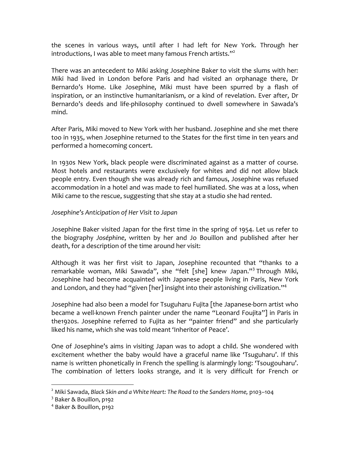the scenes in various ways, until after I had left for New York. Through her introductions, I was able to meet many famous French artists." $^2$ 

There was an antecedent to Miki asking Josephine Baker to visit the slums with her*:* Miki had lived in London before Paris and had visited an orphanage there, Dr Bernardo's Home. Like Josephine, Miki must have been spurred by a flash of inspiration, or an instinctive humanitarianism, or a kind of revelation. Ever after, Dr Bernardo's deeds and life-philosophy continued to dwell somewhere in Sawada's mind.

After Paris, Miki moved to New York with her husband. Josephine and she met there too in 1935, when Josephine returned to the States for the first time in ten years and performed a homecoming concert.

In 1930s New York, black people were discriminated against as a matter of course. Most hotels and restaurants were exclusively for whites and did not allow black people entry. Even though she was already rich and famous, Josephine was refused accommodation in a hotel and was made to feel humiliated. She was at a loss, when Miki came to the rescue, suggesting that she stay at a studio she had rented.

# *Josephine's Anticipation of Her Visit to Japan*

Josephine Baker visited Japan for the first time in the spring of 1954. Let us refer to the biography *Joséphine*, written by her and Jo Bouillon and published after her death, for a description of the time around her visit:

Although it was her first visit to Japan, Josephine recounted that "thanks to a remarkable woman, Miki Sawada", she "felt [she] knew Japan."<sup>3</sup> Through Miki, Josephine had become acquainted with Japanese people living in Paris, New York and London, and they had "given [her] insight into their astonishing civilization."<sup>4</sup>

Josephine had also been a model for Tsuguharu Fujita [the Japanese‐born artist who became a well-known French painter under the name "Leonard Foujita"] in Paris in the1920s. Josephine referred to Fujita as her "painter friend" and she particularly liked his name, which she was told meant 'Inheritor of Peace'.

One of Josephine's aims in visiting Japan was to adopt a child. She wondered with excitement whether the baby would have a graceful name like 'Tsuguharu'. If this name is written phonetically in French the spelling is alarmingly long: 'Tsougouharu'. The combination of letters looks strange, and it is very difficult for French or

<sup>2</sup> Miki Sawada, *Black Skin and a White Heart: The Road to the Sanders Home,* p103–104

<sup>&</sup>lt;sup>3</sup> Baker & Bouillon, p192

<sup>4</sup> Baker & Bouillon, p192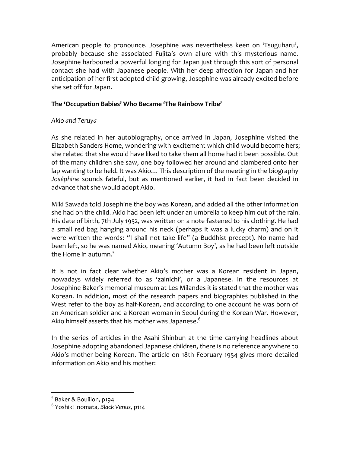American people to pronounce. Josephine was nevertheless keen on 'Tsuguharu', probably because she associated Fujita's own allure with this mysterious name. Josephine harboured a powerful longing for Japan just through this sort of personal contact she had with Japanese people*.* With her deep affection for Japan and her anticipation of her first adopted child growing, Josephine was already excited before she set off for Japan.

# **The 'Occupation Babies' Who Became 'The Rainbow Tribe'**

# *Akio and Teruya*

As she related in her autobiography, once arrived in Japan, Josephine visited the Elizabeth Sanders Home, wondering with excitement which child would become hers; she related that she would have liked to take them all home had it been possible. Out of the many children she saw, one boy followed her around and clambered onto her lap wanting to be held. It was Akio… This description of the meeting in the biography *Joséphine* sounds fateful*,* but as mentioned earlier, it had in fact been decided in advance that she would adopt Akio.

Miki Sawada told Josephine the boy was Korean, and added all the other information she had on the child. Akio had been left under an umbrella to keep him out of the rain. His date of birth, 7th July 1952, was written on a note fastened to his clothing. He had a small red bag hanging around his neck (perhaps it was a lucky charm) and on it were written the words: "I shall not take life" (a Buddhist precept). No name had been left, so he was named Akio, meaning 'Autumn Boy', as he had been left outside the Home in autumn. $^5\,$ 

It is not in fact clear whether Akio's mother was a Korean resident in Japan, nowadays widely referred to as 'zainichi', or a Japanese. In the resources at Josephine Baker's memorial museum at Les Milandes it is stated that the mother was Korean. In addition, most of the research papers and biographies published in the West refer to the boy as half-Korean, and according to one account he was born of an American soldier and a Korean woman in Seoul during the Korean War. However, Akio himself asserts that his mother was Japanese. $^{\rm 6}$ 

In the series of articles in the Asahi Shinbun at the time carrying headlines about Josephine adopting abandoned Japanese children, there is no reference anywhere to Akio's mother being Korean. The article on 18th February 1954 gives more detailed information on Akio and his mother:

<sup>5</sup> Baker & Bouillon, p194

<sup>6</sup> Yoshiki Inomata, *Black Venus,* p114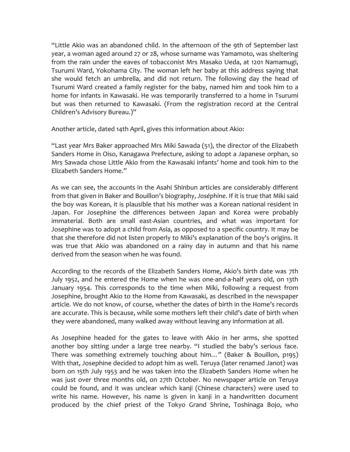"Little Akio was an abandoned child. In the afternoon of the 9th of September last year, a woman aged around 27 or 28, whose surname was Yamamoto, was sheltering from the rain under the eaves of tobacconist Mrs Masako Ueda, at 1201 Namamugi, Tsurumi Ward, Yokohama City. The woman left her baby at this address saying that she would fetch an umbrella, and did not return. The following day the head of Tsurumi Ward created a family register for the baby, named him and took him to a home for infants in Kawasaki. He was temporarily transferred to a home in Tsurumi but was then returned to Kawasaki. (From the registration record at the Central Children's Advisory Bureau.)"

Another article, dated 14th April, gives this information about Akio:

"Last year Mrs Baker approached Mrs Miki Sawada (51), the director of the Elizabeth Sanders Home in Oiso, Kanagawa Prefecture, asking to adopt a Japanese orphan, so Mrs Sawada chose Little Akio from the Kawasaki infants' home and took him to the Elizabeth Sanders Home."

As we can see, the accounts in the Asahi Shinbun articles are considerably different from that given in Baker and Bouillon's biography, *Joséphine*. If it is true that Miki said the boy was Korean, it is plausible that his mother was a Korean national resident in Japan. For Josephine the differences between Japan and Korea were probably immaterial. Both are small east‐Asian countries, and what was important for Josephine was to adopt a child from Asia, as opposed to a specific country. It may be that she therefore did not listen properly to Miki's explanation of the boy's origins. It was true that Akio was abandoned on a rainy day in autumn and that his name derived from the season when he was found.

According to the records of the Elizabeth Sanders Home, Akio's birth date was 7th July 1952, and he entered the Home when he was one‐and‐a‐half years old, on 13th January 1954. This corresponds to the time when Miki, following a request from Josephine, brought Akio to the Home from Kawasaki, as described in the newspaper article*.* We do not know, of course, whether the dates of birth in the Home's records are accurate. This is because, while some mothers left their child's date of birth when they were abandoned, many walked away without leaving any information at all.

As Josephine headed for the gates to leave with Akio in her arms, she spotted another boy sitting under a large tree nearby. "I studied the baby's serious face. There was something extremely touching about him…" (Baker & Bouillon, p195) With that, Josephine decided to adopt him as well. Teruya (later renamed Janot) was born on 15th July 1953 and he was taken into the Elizabeth Sanders Home when he was just over three months old, on 27th October. No newspaper article on Teruya could be found, and it was unclear which kanji (Chinese characters) were used to write his name. However, his name is given in kanji in a handwritten document produced by the chief priest of the Tokyo Grand Shrine, Toshinaga Bojo, who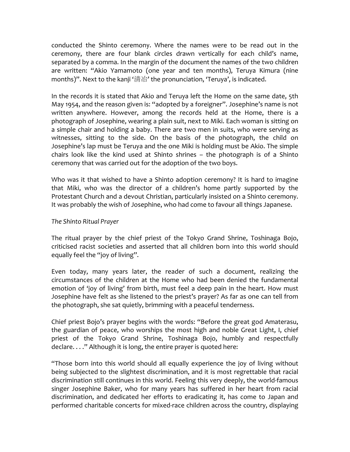conducted the Shinto ceremony. Where the names were to be read out in the ceremony, there are four blank circles drawn vertically for each child's name, separated by a comma. In the margin of the document the names of the two children are written: "Akio Yamamoto (one year and ten months), Teruya Kimura (nine months)". Next to the kanji '清冶' the pronunciation, 'Teruya', is indicated.

In the records it is stated that Akio and Teruya left the Home on the same date, 5th May 1954, and the reason given is: "adopted by a foreigner". Josephine's name is not written anywhere. However, among the records held at the Home, there is a photograph of Josephine, wearing a plain suit, next to Miki. Each woman is sitting on a simple chair and holding a baby. There are two men in suits, who were serving as witnesses, sitting to the side. On the basis of the photograph, the child on Josephine's lap must be Teruya and the one Miki is holding must be Akio. The simple chairs look like the kind used at Shinto shrines – the photograph is of a Shinto ceremony that was carried out for the adoption of the two boys.

Who was it that wished to have a Shinto adoption ceremony? It is hard to imagine that Miki, who was the director of a children's home partly supported by the Protestant Church and a devout Christian, particularly insisted on a Shinto ceremony. It was probably the wish of Josephine, who had come to favour all things Japanese.

## *The Shinto Ritual Prayer*

The ritual prayer by the chief priest of the Tokyo Grand Shrine, Toshinaga Bojo, criticised racist societies and asserted that all children born into this world should equally feel the "joy of living".

Even today, many years later, the reader of such a document, realizing the circumstances of the children at the Home who had been denied the fundamental emotion of 'joy of living' from birth, must feel a deep pain in the heart. How must Josephine have felt as she listened to the priest's prayer? As far as one can tell from the photograph, she sat quietly, brimming with a peaceful tenderness.

Chief priest Bojo's prayer begins with the words: "Before the great god Amaterasu, the guardian of peace, who worships the most high and noble Great Light, I, chief priest of the Tokyo Grand Shrine, Toshinaga Bojo, humbly and respectfully declare. . . ." Although it is long, the entire prayer is quoted here:

"Those born into this world should all equally experience the joy of living without being subjected to the slightest discrimination, and it is most regrettable that racial discrimination still continues in this world. Feeling this very deeply, the world‐famous singer Josephine Baker, who for many years has suffered in her heart from racial discrimination, and dedicated her efforts to eradicating it, has come to Japan and performed charitable concerts for mixed-race children across the country, displaying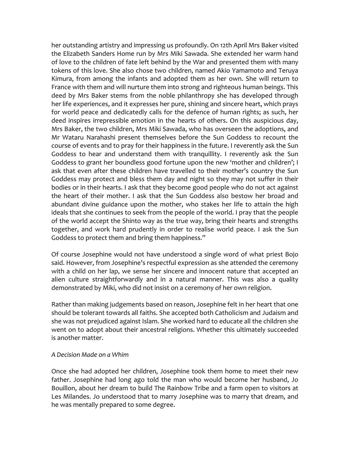her outstanding artistry and impressing us profoundly. On 12th April Mrs Baker visited the Elizabeth Sanders Home run by Mrs Miki Sawada. She extended her warm hand of love to the children of fate left behind by the War and presented them with many tokens of this love. She also chose two children, named Akio Yamamoto and Teruya Kimura, from among the infants and adopted them as her own. She will return to France with them and will nurture them into strong and righteous human beings. This deed by Mrs Baker stems from the noble philanthropy she has developed through her life experiences, and it expresses her pure, shining and sincere heart, which prays for world peace and dedicatedly calls for the defence of human rights; as such, her deed inspires irrepressible emotion in the hearts of others. On this auspicious day, Mrs Baker, the two children, Mrs Miki Sawada, who has overseen the adoptions, and Mr Wataru Narahashi present themselves before the Sun Goddess to recount the course of events and to pray for their happiness in the future. I reverently ask the Sun Goddess to hear and understand them with tranquillity. I reverently ask the Sun Goddess to grant her boundless good fortune upon the new 'mother and children'; I ask that even after these children have travelled to their mother's country the Sun Goddess may protect and bless them day and night so they may not suffer in their bodies or in their hearts. I ask that they become good people who do not act against the heart of their mother. I ask that the Sun Goddess also bestow her broad and abundant divine guidance upon the mother, who stakes her life to attain the high ideals that she continues to seek from the people of the world. I pray that the people of the world accept the Shinto way as the true way, bring their hearts and strengths together, and work hard prudently in order to realise world peace. I ask the Sun Goddess to protect them and bring them happiness."

Of course Josephine would not have understood a single word of what priest Bojo said. However, from Josephine's respectful expression as she attended the ceremony with a child on her lap, we sense her sincere and innocent nature that accepted an alien culture straightforwardly and in a natural manner. This was also a quality demonstrated by Miki, who did not insist on a ceremony of her own religion.

Rather than making judgements based on reason, Josephine felt in her heart that one should be tolerant towards all faiths. She accepted both Catholicism and Judaism and she was not prejudiced against Islam. She worked hard to educate all the children she went on to adopt about their ancestral religions. Whether this ultimately succeeded is another matter.

#### *A Decision Made on a Whim*

Once she had adopted her children, Josephine took them home to meet their new father. Josephine had long ago told the man who would become her husband, Jo Bouillon, about her dream to build The Rainbow Tribe and a farm open to visitors at Les Milandes. Jo understood that to marry Josephine was to marry that dream, and he was mentally prepared to some degree.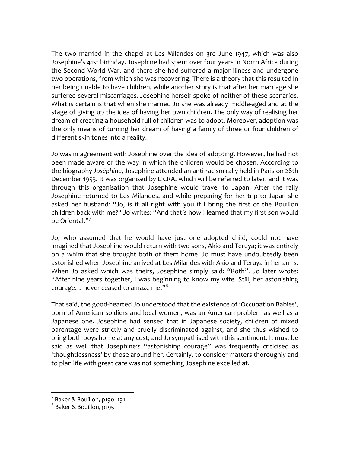The two married in the chapel at Les Milandes on 3rd June 1947, which was also Josephine's 41st birthday. Josephine had spent over four years in North Africa during the Second World War, and there she had suffered a major illness and undergone two operations, from which she was recovering. There is a theory that this resulted in her being unable to have children, while another story is that after her marriage she suffered several miscarriages. Josephine herself spoke of neither of these scenarios. What is certain is that when she married Jo she was already middle‐aged and at the stage of giving up the idea of having her own children. The only way of realising her dream of creating a household full of children was to adopt. Moreover, adoption was the only means of turning her dream of having a family of three or four children of different skin tones into a reality.

Jo was in agreement with Josephine over the idea of adopting. However, he had not been made aware of the way in which the children would be chosen. According to the biography *Joséphine*, Josephine attended an anti‐racism rally held in Paris on 28th December 1953. It was organised by LICRA, which will be referred to later, and it was through this organisation that Josephine would travel to Japan. After the rally Josephine returned to Les Milandes, and while preparing for her trip to Japan she asked her husband: "Jo, is it all right with you if I bring the first of the Bouillon children back with me?" Jo writes: "And that's how I learned that my first son would be Oriental."<sup>7</sup>

Jo, who assumed that he would have just one adopted child, could not have imagined that Josephine would return with two sons, Akio and Teruya; it was entirely on a whim that she brought both of them home. Jo must have undoubtedly been astonished when Josephine arrived at Les Milandes with Akio and Teruya in her arms. When Jo asked which was theirs, Josephine simply said: "Both". Jo later wrote: "After nine years together, I was beginning to know my wife. Still, her astonishing courage... never ceased to amaze me."<sup>8</sup>

That said, the good‐hearted Jo understood that the existence of 'Occupation Babies', born of American soldiers and local women, was an American problem as well as a Japanese one. Josephine had sensed that in Japanese society, children of mixed parentage were strictly and cruelly discriminated against, and she thus wished to bring both boys home at any cost; and Jo sympathised with this sentiment. It must be said as well that Josephine's "astonishing courage" was frequently criticised as 'thoughtlessness' by those around her. Certainly, to consider matters thoroughly and to plan life with great care was not something Josephine excelled at.

 $<sup>7</sup>$  Baker & Bouillon, p190-191</sup>

<sup>8</sup> Baker & Bouillon, p195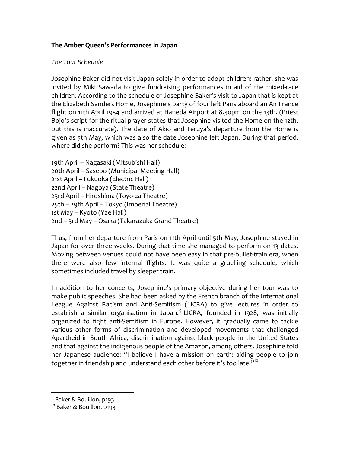# **The Amber Queen's Performances in Japan**

# *The Tour Schedule*

Josephine Baker did not visit Japan solely in order to adopt children: rather, she was invited by Miki Sawada to give fundraising performances in aid of the mixed‐race children. According to the schedule of Josephine Baker's visit to Japan that is kept at the Elizabeth Sanders Home, Josephine's party of four left Paris aboard an Air France flight on 11th April 1954 and arrived at Haneda Airport at 8.30pm on the 13th. (Priest Bojo's script for the ritual prayer states that Josephine visited the Home on the 12th, but this is inaccurate). The date of Akio and Teruya's departure from the Home is given as 5th May, which was also the date Josephine left Japan. During that period, where did she perform? This was her schedule:

```
19th April – Nagasaki (Mitsubishi Hall)
20th April – Sasebo (Municipal Meeting Hall)
21st April – Fukuoka (Electric Hall)
22nd April – Nagoya (State Theatre)
23rd April – Hiroshima (Toyo‐za Theatre)
25th – 29th April – Tokyo (Imperial Theatre)
1st May – Kyoto (Yae Hall)
2nd – 3rd May – Osaka (Takarazuka Grand Theatre)
```
Thus, from her departure from Paris on 11th April until 5th May, Josephine stayed in Japan for over three weeks. During that time she managed to perform on 13 dates. Moving between venues could not have been easy in that pre-bullet-train era, when there were also few internal flights. It was quite a gruelling schedule, which sometimes included travel by sleeper train.

In addition to her concerts, Josephine's primary objective during her tour was to make public speeches. She had been asked by the French branch of the International League Against Racism and Anti‐Semitism (LICRA) to give lectures in order to establish a similar organisation in Japan.<sup>9</sup> LICRA, founded in 1928, was initially organized to fight anti‐Semitism in Europe. However, it gradually came to tackle various other forms of discrimination and developed movements that challenged Apartheid in South Africa, discrimination against black people in the United States and that against the indigenous people of the Amazon, among others. Josephine told her Japanese audience: "I believe I have a mission on earth: aiding people to join together in friendship and understand each other before it's too late."<sup>10</sup>

<sup>&</sup>lt;sup>9</sup> Baker & Bouillon, p193

<sup>&</sup>lt;sup>10</sup> Baker & Bouillon, p193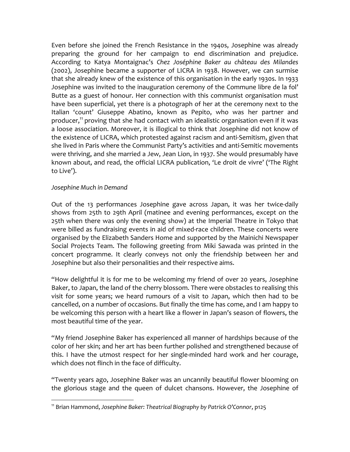Even before she joined the French Resistance in the 1940s, Josephine was already preparing the ground for her campaign to end discrimination and prejudice. According to Katya Montaignac's *Chez Joséphine Baker au château des Milandes* (2002), Josephine became a supporter of LICRA in 1938. However, we can surmise that she already knew of the existence of this organisation in the early 1930s. In 1933 Josephine was invited to the inauguration ceremony of the Commune libre de la fol' Butte as a guest of honour. Her connection with this communist organisation must have been superficial, yet there is a photograph of her at the ceremony next to the Italian 'count' Giuseppe Abatino, known as Pepito, who was her partner and producer,<sup>11</sup> proving that she had contact with an idealistic organisation even if it was a loose association. Moreover, it is illogical to think that Josephine did not know of the existence of LICRA, which protested against racism and anti‐Semitism, given that she lived in Paris where the Communist Party's activities and anti‐Semitic movements were thriving, and she married a Jew, Jean Lion, in 1937. She would presumably have known about, and read, the official LICRA publication, 'Le droit de vivre' ('The Right to Live').

## *Josephine Much in Demand*

 $\overline{a}$ 

Out of the 13 performances Josephine gave across Japan, it was her twice‐daily shows from 25th to 29th April (matinee and evening performances, except on the 25th when there was only the evening show) at the Imperial Theatre in Tokyo that were billed as fundraising events in aid of mixed-race children. These concerts were organised by the Elizabeth Sanders Home and supported by the Mainichi Newspaper Social Projects Team. The following greeting from Miki Sawada was printed in the concert programme. It clearly conveys not only the friendship between her and Josephine but also their personalities and their respective aims.

"How delightful it is for me to be welcoming my friend of over 20 years, Josephine Baker, to Japan, the land of the cherry blossom. There were obstacles to realising this visit for some years; we heard rumours of a visit to Japan, which then had to be cancelled, on a number of occasions. But finally the time has come, and I am happy to be welcoming this person with a heart like a flower in Japan's season of flowers, the most beautiful time of the year.

"My friend Josephine Baker has experienced all manner of hardships because of the color of her skin; and her art has been further polished and strengthened because of this. I have the utmost respect for her single-minded hard work and her courage, which does not flinch in the face of difficulty.

"Twenty years ago, Josephine Baker was an uncannily beautiful flower blooming on the glorious stage and the queen of dulcet chansons. However, the Josephine of

<sup>11</sup> Brian Hammond, *Josephine Baker: Theatrical Biography by Patrick O'Connor*, p125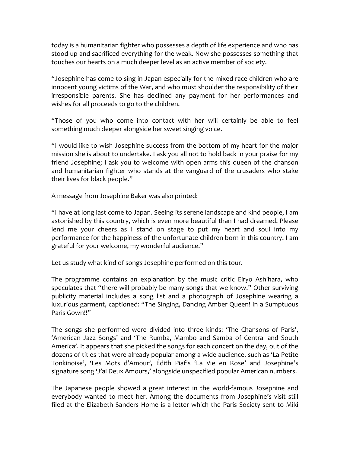today is a humanitarian fighter who possesses a depth of life experience and who has stood up and sacrificed everything for the weak. Now she possesses something that touches our hearts on a much deeper level as an active member of society.

"Josephine has come to sing in Japan especially for the mixed‐race children who are innocent young victims of the War, and who must shoulder the responsibility of their irresponsible parents. She has declined any payment for her performances and wishes for all proceeds to go to the children.

"Those of you who come into contact with her will certainly be able to feel something much deeper alongside her sweet singing voice.

"I would like to wish Josephine success from the bottom of my heart for the major mission she is about to undertake. I ask you all not to hold back in your praise for my friend Josephine; I ask you to welcome with open arms this queen of the chanson and humanitarian fighter who stands at the vanguard of the crusaders who stake their lives for black people."

A message from Josephine Baker was also printed:

"I have at long last come to Japan. Seeing its serene landscape and kind people, I am astonished by this country, which is even more beautiful than I had dreamed. Please lend me your cheers as I stand on stage to put my heart and soul into my performance for the happiness of the unfortunate children born in this country. I am grateful for your welcome, my wonderful audience."

Let us study what kind of songs Josephine performed on this tour.

The programme contains an explanation by the music critic Eiryo Ashihara, who speculates that "there will probably be many songs that we know." Other surviving publicity material includes a song list and a photograph of Josephine wearing a luxurious garment, captioned: "The Singing, Dancing Amber Queen! In a Sumptuous Paris Gown!!"

The songs she performed were divided into three kinds: 'The Chansons of Paris', 'American Jazz Songs' and 'The Rumba, Mambo and Samba of Central and South America'. It appears that she picked the songs for each concert on the day, out of the dozens of titles that were already popular among a wide audience, such as 'La Petite Tonkinoise', 'Les Mots d'Amour', Édith Piaf's 'La Vie en Rose' and Josephine's signature song 'J'ai Deux Amours,' alongside unspecified popular American numbers.

The Japanese people showed a great interest in the world‐famous Josephine and everybody wanted to meet her. Among the documents from Josephine's visit still filed at the Elizabeth Sanders Home is a letter which the Paris Society sent to Miki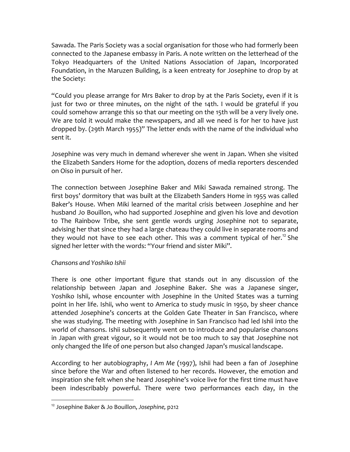Sawada. The Paris Society was a social organisation for those who had formerly been connected to the Japanese embassy in Paris. A note written on the letterhead of the Tokyo Headquarters of the United Nations Association of Japan, Incorporated Foundation, in the Maruzen Building, is a keen entreaty for Josephine to drop by at the Society:

"Could you please arrange for Mrs Baker to drop by at the Paris Society, even if it is just for two or three minutes, on the night of the 14th. I would be grateful if you could somehow arrange this so that our meeting on the 15th will be a very lively one. We are told it would make the newspapers, and all we need is for her to have just dropped by. (29th March 1955)" The letter ends with the name of the individual who sent it.

Josephine was very much in demand wherever she went in Japan. When she visited the Elizabeth Sanders Home for the adoption, dozens of media reporters descended on Oiso in pursuit of her.

The connection between Josephine Baker and Miki Sawada remained strong. The first boys' dormitory that was built at the Elizabeth Sanders Home in 1955 was called Baker's House. When Miki learned of the marital crisis between Josephine and her husband Jo Bouillon, who had supported Josephine and given his love and devotion to The Rainbow Tribe, she sent gentle words urging Josephine not to separate, advising her that since they had a large chateau they could live in separate rooms and they would not have to see each other. This was a comment typical of her.<sup>12</sup> She signed her letter with the words: "Your friend and sister Miki".

# *Chansons and Yoshiko Ishii*

 $\overline{a}$ 

There is one other important figure that stands out in any discussion of the relationship between Japan and Josephine Baker. She was a Japanese singer, Yoshiko Ishii, whose encounter with Josephine in the United States was a turning point in her life. Ishii, who went to America to study music in 1950, by sheer chance attended Josephine's concerts at the Golden Gate Theater in San Francisco, where she was studying. The meeting with Josephine in San Francisco had led Ishii into the world of chansons. Ishii subsequently went on to introduce and popularise chansons in Japan with great vigour, so it would not be too much to say that Josephine not only changed the life of one person but also changed Japan's musical landscape.

According to her autobiography, *I Am Me* (1997), Ishii had been a fan of Josephine since before the War and often listened to her records. However, the emotion and inspiration she felt when she heard Josephine's voice live for the first time must have been indescribably powerful. There were two performances each day, in the

<sup>12</sup> Josephine Baker & Jo Bouillon, *Josephine,* p212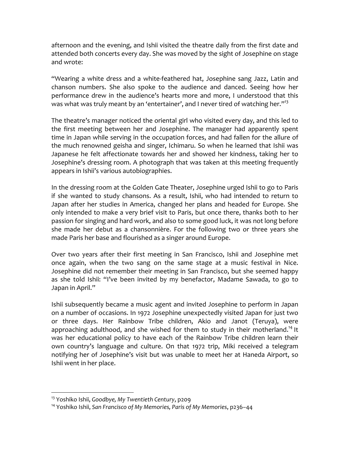afternoon and the evening, and Ishii visited the theatre daily from the first date and attended both concerts every day. She was moved by the sight of Josephine on stage and wrote:

"Wearing a white dress and a white‐feathered hat, Josephine sang Jazz, Latin and chanson numbers. She also spoke to the audience and danced. Seeing how her performance drew in the audience's hearts more and more, I understood that this was what was truly meant by an 'entertainer', and I never tired of watching her."<sup>13</sup>

The theatre's manager noticed the oriental girl who visited every day, and this led to the first meeting between her and Josephine. The manager had apparently spent time in Japan while serving in the occupation forces, and had fallen for the allure of the much renowned geisha and singer, Ichimaru. So when he learned that Ishii was Japanese he felt affectionate towards her and showed her kindness, taking her to Josephine's dressing room. A photograph that was taken at this meeting frequently appears in Ishii's various autobiographies.

In the dressing room at the Golden Gate Theater, Josephine urged Ishii to go to Paris if she wanted to study chansons. As a result, Ishii, who had intended to return to Japan after her studies in America, changed her plans and headed for Europe. She only intended to make a very brief visit to Paris, but once there, thanks both to her passion for singing and hard work, and also to some good luck, it was not long before she made her debut as a chansonnière. For the following two or three years she made Paris her base and flourished as a singer around Europe.

Over two years after their first meeting in San Francisco, Ishii and Josephine met once again, when the two sang on the same stage at a music festival in Nice. Josephine did not remember their meeting in San Francisco, but she seemed happy as she told Ishii: "I've been invited by my benefactor, Madame Sawada, to go to Japan in April."

Ishii subsequently became a music agent and invited Josephine to perform in Japan on a number of occasions. In 1972 Josephine unexpectedly visited Japan for just two or three days. Her Rainbow Tribe children, Akio and Janot (Teruya), were approaching adulthood, and she wished for them to study in their motherland.<sup>14</sup> It was her educational policy to have each of the Rainbow Tribe children learn their own country's language and culture. On that 1972 trip, Miki received a telegram notifying her of Josephine's visit but was unable to meet her at Haneda Airport, so Ishii went in her place.

<u>.</u>

<sup>13</sup> Yoshiko Ishii, *Goodbye, My Twentieth Century*, p209

<sup>14</sup> Yoshiko Ishii, *San Francisco of My Memories, Paris of My Memories*, p236–44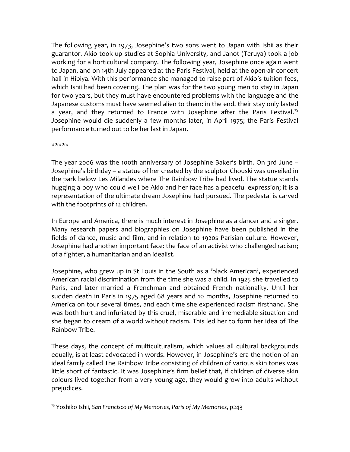The following year, in 1973, Josephine's two sons went to Japan with Ishii as their guarantor. Akio took up studies at Sophia University, and Janot (Teruya) took a job working for a horticultural company. The following year, Josephine once again went to Japan, and on 14th July appeared at the Paris Festival, held at the open-air concert hall in Hibiya. With this performance she managed to raise part of Akio's tuition fees, which Ishii had been covering. The plan was for the two young men to stay in Japan for two years, but they must have encountered problems with the language and the Japanese customs must have seemed alien to them: in the end, their stay only lasted a year, and they returned to France with Josephine after the Paris Festival.<sup>15</sup> Josephine would die suddenly a few months later, in April 1975; the Paris Festival performance turned out to be her last in Japan.

\*\*\*\*\*

 $\overline{a}$ 

The year 2006 was the 100th anniversary of Josephine Baker's birth. On 3rd June – Josephine's birthday – a statue of her created by the sculptor Chouski was unveiled in the park below Les Milandes where The Rainbow Tribe had lived. The statue stands hugging a boy who could well be Akio and her face has a peaceful expression; it is a representation of the ultimate dream Josephine had pursued. The pedestal is carved with the footprints of 12 children.

In Europe and America, there is much interest in Josephine as a dancer and a singer. Many research papers and biographies on Josephine have been published in the fields of dance, music and film, and in relation to 1920s Parisian culture. However, Josephine had another important face: the face of an activist who challenged racism; of a fighter, a humanitarian and an idealist.

Josephine, who grew up in St Louis in the South as a 'black American', experienced American racial discrimination from the time she was a child. In 1925 she travelled to Paris, and later married a Frenchman and obtained French nationality. Until her sudden death in Paris in 1975 aged 68 years and 10 months, Josephine returned to America on tour several times, and each time she experienced racism firsthand. She was both hurt and infuriated by this cruel, miserable and irremediable situation and she began to dream of a world without racism. This led her to form her idea of The Rainbow Tribe.

These days, the concept of multiculturalism, which values all cultural backgrounds equally, is at least advocated in words. However, in Josephine's era the notion of an ideal family called The Rainbow Tribe consisting of children of various skin tones was little short of fantastic. It was Josephine's firm belief that, if children of diverse skin colours lived together from a very young age, they would grow into adults without prejudices.

<sup>15</sup> Yoshiko Ishii, *San Francisco of My Memories, Paris of My Memories*, p243